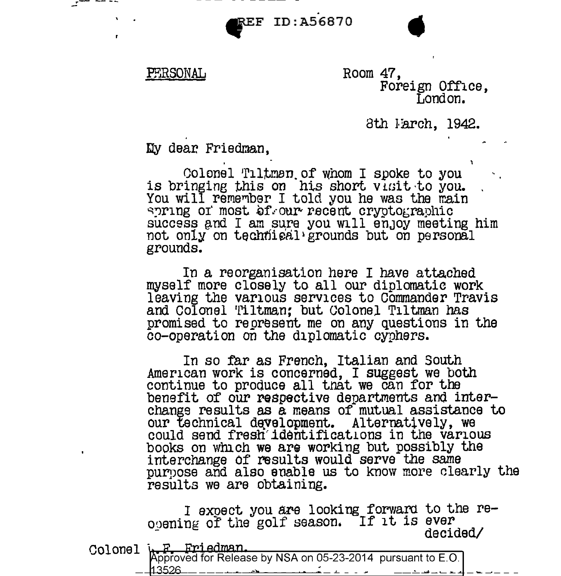$r^2$  --- . The set of  $r^2$  is the set of  $r^2$  is the set of  $r^2$  is the set of  $r^2$  is the set of  $r^2$  is the set of  $r^2$  is the set of  $r^2$  is the set of  $r^2$  is the set of  $r^2$  is the set of  $r^2$  is the set o

## PERSONAL

Room 47, Foreign Office, London.

8th *Farch*, 1942.

Dy dear. Friedman,

Colonel Tiltman of whom I spoke to you<br>is bringing this on his short visit to you. You will remember I told you he was the main wring or most of our recent cryptographic  $success$  and I am sure you will enjoy meeting him not only on technisal grounds but on personal grounds.

In a reorganisation here I have attached myself more closely to all our diplomatic work leaving the various services to Commander Travis and Colonel Tiltman; but Colonel Tiltman has promised to represent me on any questions in the co-operation on the diplomatic cyphers.

In so far as French, Italian and South American work is concerned, I suggest we both continue to produce all that we can for the benefit of our respective departments and interchange results as a means of mutual assistance to our technical development. Alternatively, we could send fresh'identificat1ons in the various books on which we arg working but possibly the interchange Of results would serve the same purpose and also enable us to know more clearly the results we are obtaining.

I expect you are looking forward to the reopening of the golf season. If it is ever<br>decided/

| Colonel $\frac{1}{2}$ , $\frac{1}{2}$ Friedman.<br>Approved for Release by NSA on 05-23-2014 pursuant to E.O.                                             |  |
|-----------------------------------------------------------------------------------------------------------------------------------------------------------|--|
| __ 113526<br>ان میں میں اس کی مقدار ہے۔<br>اس کے مقدار مقدار مقدار مقدار مقدار مقدار مقدار مقدار مقدار مقدار مقدار مقدار مقدار مقدار مقدار مقدار مقدار مق |  |